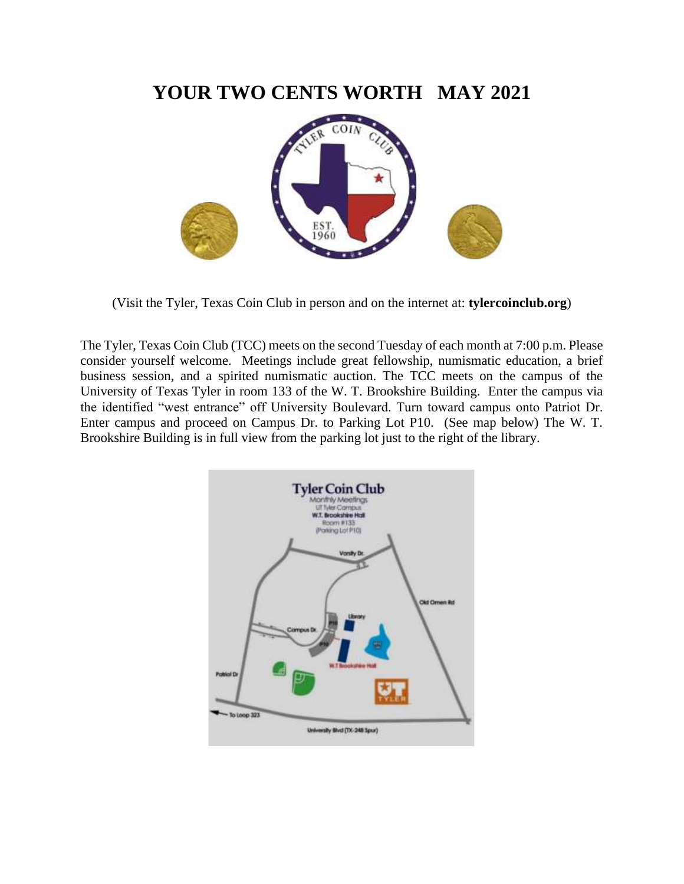### **YOUR TWO CENTS WORTH MAY 2021**



(Visit the Tyler, Texas Coin Club in person and on the internet at: **tylercoinclub.org**)

The Tyler, Texas Coin Club (TCC) meets on the second Tuesday of each month at 7:00 p.m. Please consider yourself welcome. Meetings include great fellowship, numismatic education, a brief business session, and a spirited numismatic auction. The TCC meets on the campus of the University of Texas Tyler in room 133 of the W. T. Brookshire Building. Enter the campus via the identified "west entrance" off University Boulevard. Turn toward campus onto Patriot Dr. Enter campus and proceed on Campus Dr. to Parking Lot P10. (See map below) The W. T. Brookshire Building is in full view from the parking lot just to the right of the library.

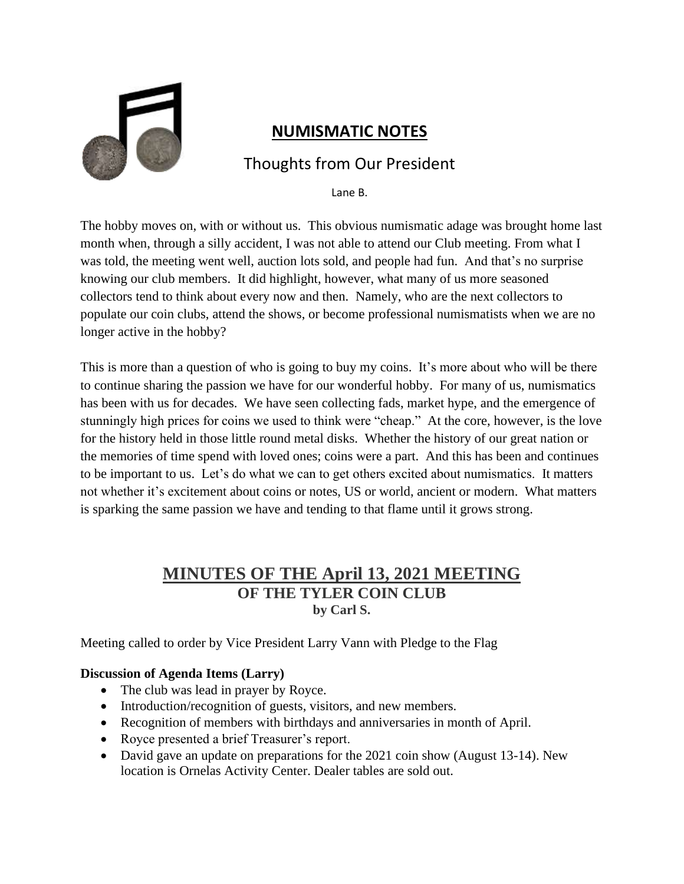

### **NUMISMATIC NOTES**

### Thoughts from Our President

Lane B.

The hobby moves on, with or without us. This obvious numismatic adage was brought home last month when, through a silly accident, I was not able to attend our Club meeting. From what I was told, the meeting went well, auction lots sold, and people had fun. And that's no surprise knowing our club members. It did highlight, however, what many of us more seasoned collectors tend to think about every now and then. Namely, who are the next collectors to populate our coin clubs, attend the shows, or become professional numismatists when we are no longer active in the hobby?

This is more than a question of who is going to buy my coins. It's more about who will be there to continue sharing the passion we have for our wonderful hobby. For many of us, numismatics has been with us for decades. We have seen collecting fads, market hype, and the emergence of stunningly high prices for coins we used to think were "cheap." At the core, however, is the love for the history held in those little round metal disks. Whether the history of our great nation or the memories of time spend with loved ones; coins were a part. And this has been and continues to be important to us. Let's do what we can to get others excited about numismatics. It matters not whether it's excitement about coins or notes, US or world, ancient or modern. What matters is sparking the same passion we have and tending to that flame until it grows strong.

### **MINUTES OF THE April 13, 2021 MEETING OF THE TYLER COIN CLUB by Carl S.**

Meeting called to order by Vice President Larry Vann with Pledge to the Flag

#### **Discussion of Agenda Items (Larry)**

- The club was lead in prayer by Royce.
- Introduction/recognition of guests, visitors, and new members.
- Recognition of members with birthdays and anniversaries in month of April.
- Royce presented a brief Treasurer's report.
- David gave an update on preparations for the 2021 coin show (August 13-14). New location is Ornelas Activity Center. Dealer tables are sold out.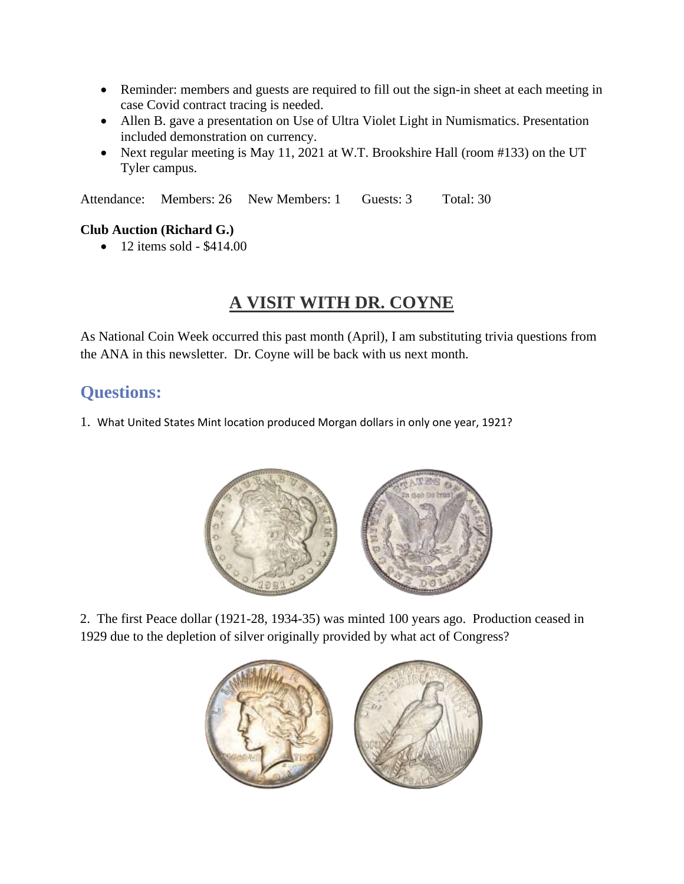- Reminder: members and guests are required to fill out the sign-in sheet at each meeting in case Covid contract tracing is needed.
- Allen B. gave a presentation on Use of Ultra Violet Light in Numismatics. Presentation included demonstration on currency.
- Next regular meeting is May 11, 2021 at W.T. Brookshire Hall (room #133) on the UT Tyler campus.

Attendance: Members: 26 New Members: 1 Guests: 3 Total: 30

#### **Club Auction (Richard G.)**

• 12 items sold - \$414.00

# **A VISIT WITH DR. COYNE**

As National Coin Week occurred this past month (April), I am substituting trivia questions from the ANA in this newsletter. Dr. Coyne will be back with us next month.

### **Questions:**

1. What United States Mint location produced Morgan dollars in only one year, 1921?



2. The first Peace dollar (1921-28, 1934-35) was minted 100 years ago. Production ceased in 1929 due to the depletion of silver originally provided by what act of Congress?

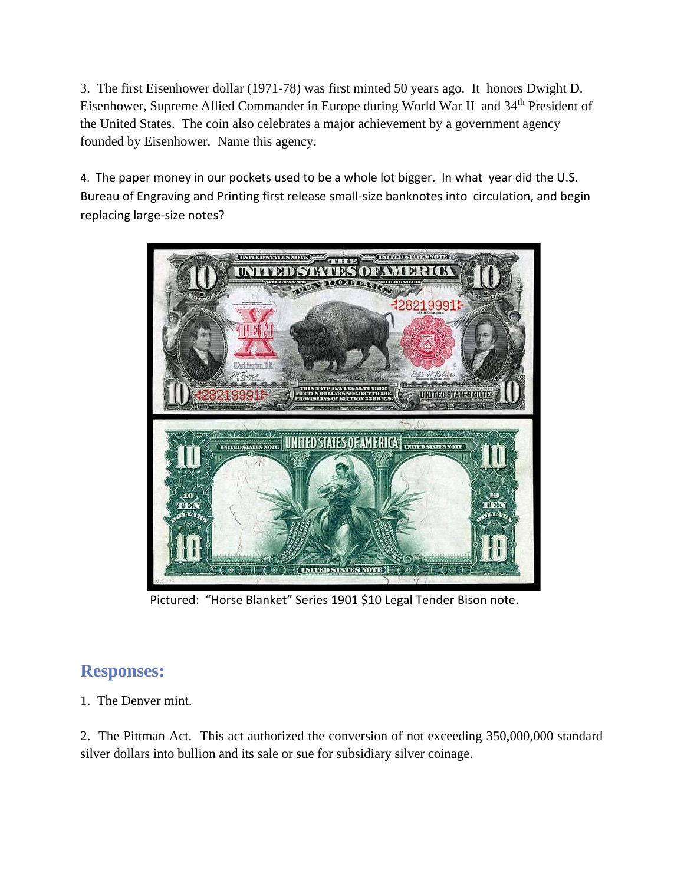3. The first Eisenhower dollar (1971-78) was first minted 50 years ago. It honors Dwight D. Eisenhower, Supreme Allied Commander in Europe during World War II and 34<sup>th</sup> President of the United States. The coin also celebrates a major achievement by a government agency founded by Eisenhower. Name this agency.

4. The paper money in our pockets used to be a whole lot bigger. In what year did the U.S. Bureau of Engraving and Printing first release small-size banknotes into circulation, and begin replacing large-size notes?



Pictured: "Horse Blanket" Series 1901 \$10 Legal Tender Bison note.

## **Responses:**

1. The Denver mint.

2. The Pittman Act. This act authorized the conversion of not exceeding 350,000,000 standard silver dollars into bullion and its sale or sue for subsidiary silver coinage.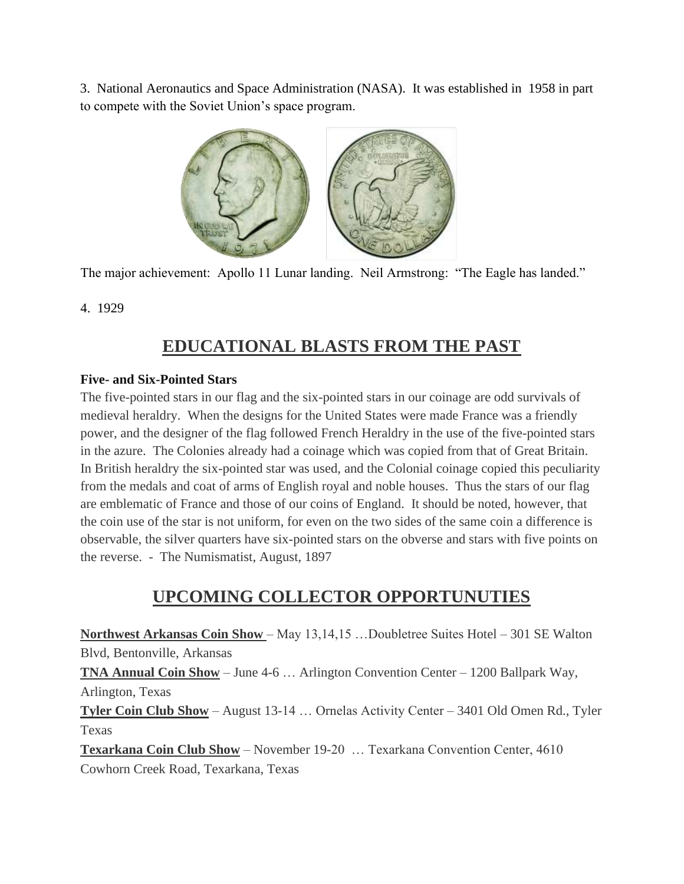3. National Aeronautics and Space Administration (NASA). It was established in 1958 in part to compete with the Soviet Union's space program.



The major achievement: Apollo 11 Lunar landing. Neil Armstrong: "The Eagle has landed."

#### 4. 1929

## **EDUCATIONAL BLASTS FROM THE PAST**

#### **Five- and Six-Pointed Stars**

The five-pointed stars in our flag and the six-pointed stars in our coinage are odd survivals of medieval heraldry. When the designs for the United States were made France was a friendly power, and the designer of the flag followed French Heraldry in the use of the five-pointed stars in the azure. The Colonies already had a coinage which was copied from that of Great Britain. In British heraldry the six-pointed star was used, and the Colonial coinage copied this peculiarity from the medals and coat of arms of English royal and noble houses. Thus the stars of our flag are emblematic of France and those of our coins of England. It should be noted, however, that the coin use of the star is not uniform, for even on the two sides of the same coin a difference is observable, the silver quarters have six-pointed stars on the obverse and stars with five points on the reverse. - The Numismatist, August, 1897

### **UPCOMING COLLECTOR OPPORTUNUTIES**

**Northwest Arkansas Coin Show** – May 13,14,15 …Doubletree Suites Hotel – 301 SE Walton Blvd, Bentonville, Arkansas **TNA Annual Coin Show** – June 4-6 … Arlington Convention Center – 1200 Ballpark Way, Arlington, Texas **Tyler Coin Club Show** – August 13-14 … Ornelas Activity Center – 3401 Old Omen Rd., Tyler

Texas

**Texarkana Coin Club Show** – November 19-20 … Texarkana Convention Center, 4610 Cowhorn Creek Road, Texarkana, Texas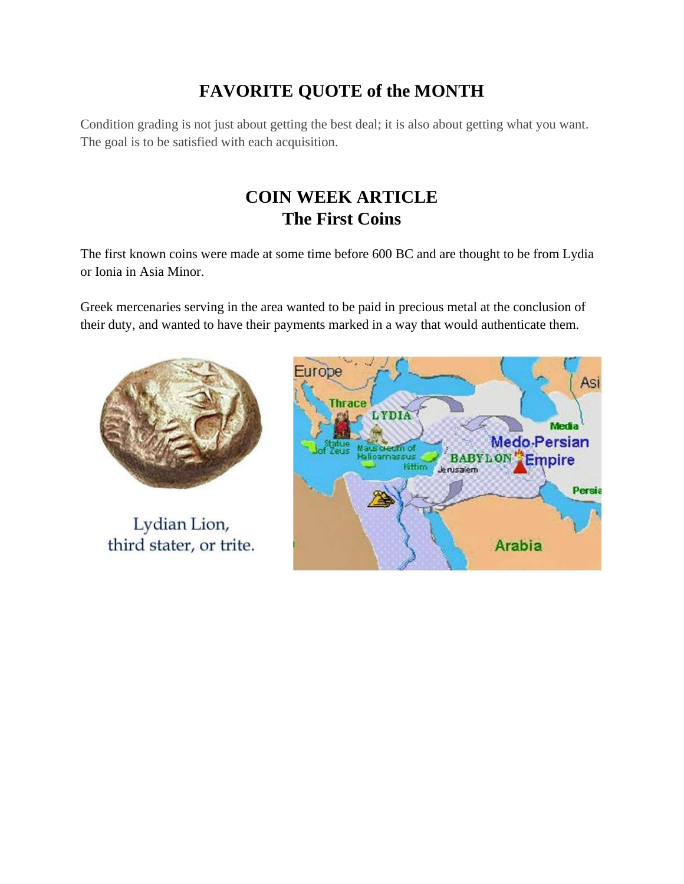# **FAVORITE QUOTE of the MONTH**

Condition grading is not just about getting the best deal; it is also about getting what you want. The goal is to be satisfied with each acquisition.

# **COIN WEEK ARTICLE The First Coins**

The first known coins were made at some time before 600 BC and are thought to be from Lydia or Ionia in Asia Minor.

Greek mercenaries serving in the area wanted to be paid in precious metal at the conclusion of their duty, and wanted to have their payments marked in a way that would authenticate them.



Lydian Lion, third stater, or trite.

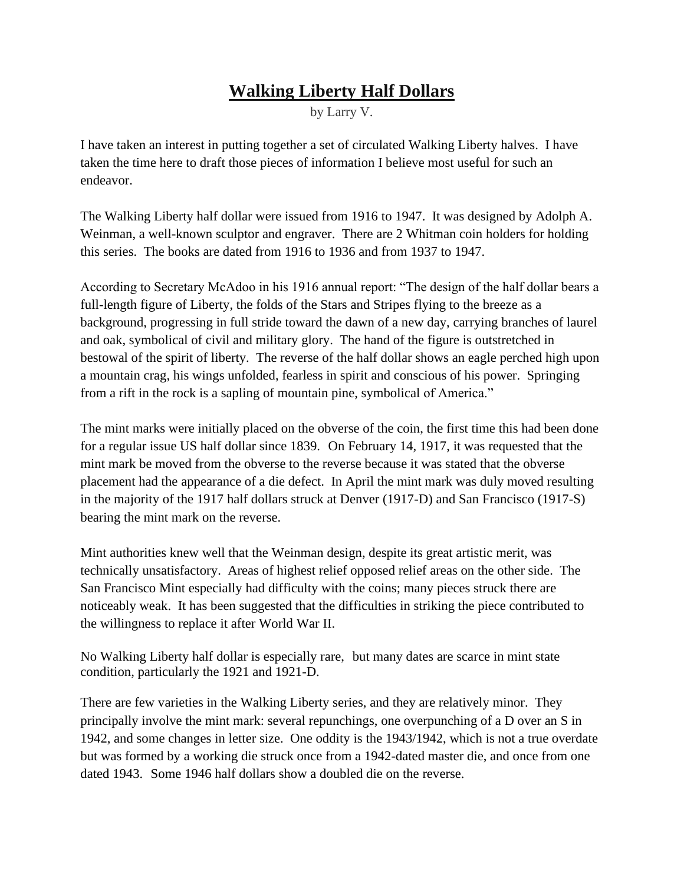## **Walking Liberty Half Dollars**

by Larry V.

I have taken an interest in putting together a set of circulated Walking Liberty halves. I have taken the time here to draft those pieces of information I believe most useful for such an endeavor.

The Walking Liberty half dollar were issued from 1916 to 1947. It was designed by [Adolph A.](https://en.wikipedia.org/wiki/Adolph_Alexander_Weinman)  [Weinman,](https://en.wikipedia.org/wiki/Adolph_Alexander_Weinman) a well-known sculptor and engraver. There are 2 Whitman coin holders for holding this series. The books are dated from 1916 to 1936 and from 1937 to 1947.

According to Secretary McAdoo in his 1916 annual report: "The design of the half dollar bears a full-length figure of [Liberty,](https://en.wikipedia.org/wiki/Liberty_(goddess)) the folds of the Stars and Stripes flying to the breeze as a background, progressing in full stride toward the dawn of a new day, carrying branches of laurel and oak, symbolical of civil and military glory. The hand of the figure is outstretched in bestowal of the spirit of liberty. The reverse of the half dollar shows an eagle perched high upon a mountain crag, his wings unfolded, fearless in spirit and conscious of his power. Springing from a rift in the rock is a sapling of mountain pine, symbolical of America."

The mint marks were initially placed on the obverse of the coin, the first time this had been done for a regular issue US half dollar since 1839. On February 14, 1917, it was requested that the mint mark be moved from the obverse to the reverse because it was stated that the obverse placement had the appearance of a die defect. In April the mint mark was duly moved resulting in the majority of the 1917 half dollars struck at Denver (1917-D) and San Francisco (1917-S) bearing the mint mark on the reverse.

Mint authorities knew well that the Weinman design, despite its great artistic merit, was technically unsatisfactory. Areas of highest relief opposed relief areas on the other side. The San Francisco Mint especially had difficulty with the coins; many pieces struck there are noticeably weak. It has been suggested that the difficulties in striking the piece contributed to the willingness to replace it after World War II.

No Walking Liberty half dollar is especially rare, but many dates are scarce in [mint state](https://en.wikipedia.org/wiki/Coin_grading) condition, particularly the 1921 and 1921-D.

There are few varieties in the Walking Liberty series, and they are relatively minor. They principally involve the mint mark: several repunchings, one overpunching of a D over an S in 1942, and some changes in letter size. One oddity is the 1943/1942, which is not a true overdate but was formed by a working die struck once from a 1942-dated master die, and once from one dated 1943. Some 1946 half dollars show a [doubled die](https://en.wikipedia.org/wiki/Doubled_die) on the reverse.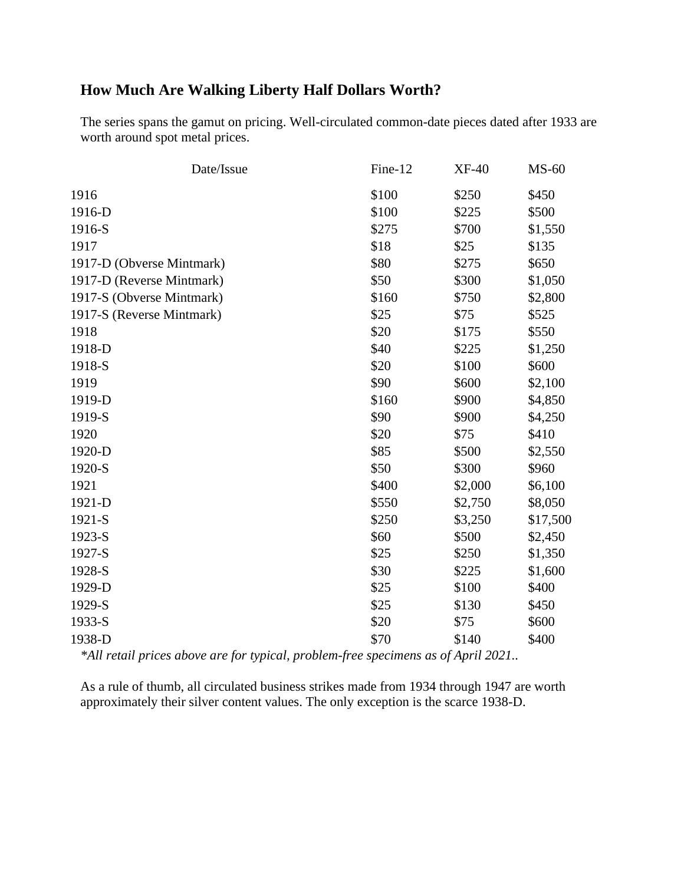### **How Much Are Walking Liberty Half Dollars Worth?**

The series spans the gamut on pricing. Well-circulated common-date pieces dated after 1933 are worth around [spot metal prices.](https://www.gainesvillecoins.com/charts/silver-spot-price)

| Fine-12 | <b>XF-40</b> | $MS-60$  |
|---------|--------------|----------|
| \$100   | \$250        | \$450    |
| \$100   | \$225        | \$500    |
| \$275   | \$700        | \$1,550  |
| \$18    | \$25         | \$135    |
| \$80    | \$275        | \$650    |
| \$50    | \$300        | \$1,050  |
| \$160   | \$750        | \$2,800  |
| \$25    | \$75         | \$525    |
| \$20    | \$175        | \$550    |
| \$40    | \$225        | \$1,250  |
| \$20    | \$100        | \$600    |
| \$90    | \$600        | \$2,100  |
| \$160   | \$900        | \$4,850  |
| \$90    | \$900        | \$4,250  |
| \$20    | \$75         | \$410    |
| \$85    | \$500        | \$2,550  |
| \$50    | \$300        | \$960    |
| \$400   | \$2,000      | \$6,100  |
| \$550   | \$2,750      | \$8,050  |
| \$250   | \$3,250      | \$17,500 |
| \$60    | \$500        | \$2,450  |
| \$25    | \$250        | \$1,350  |
| \$30    | \$225        | \$1,600  |
| \$25    | \$100        | \$400    |
| \$25    | \$130        | \$450    |
| \$20    | \$75         | \$600    |
| \$70    | \$140        | \$400    |
|         |              |          |

*\*All retail prices above are for typical, problem-free specimens as of April 2021..*

As a rule of thumb, all circulated business strikes made from 1934 through 1947 are worth approximately their silver content values. The only exception is the scarce 1938-D.